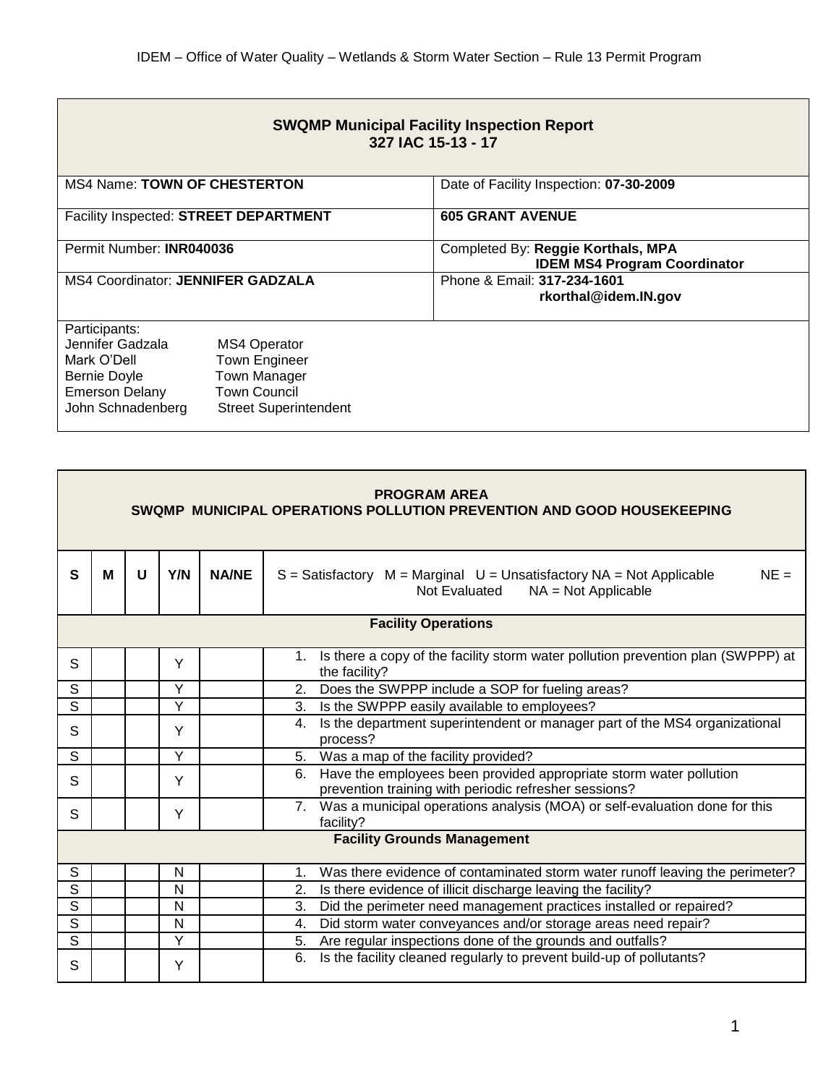|                                            |                                                     | <b>SWQMP Municipal Facility Inspection Report</b><br>327 IAC 15-13 - 17   |
|--------------------------------------------|-----------------------------------------------------|---------------------------------------------------------------------------|
| <b>MS4 Name: TOWN OF CHESTERTON</b>        |                                                     | Date of Facility Inspection: 07-30-2009                                   |
| Facility Inspected: STREET DEPARTMENT      |                                                     | <b>605 GRANT AVENUE</b>                                                   |
| Permit Number: INR040036                   |                                                     | Completed By: Reggie Korthals, MPA<br><b>IDEM MS4 Program Coordinator</b> |
| <b>MS4 Coordinator: JENNIFER GADZALA</b>   |                                                     | Phone & Email: 317-234-1601<br>rkorthal@idem.IN.gov                       |
| Participants:<br>Jennifer Gadzala          | <b>MS4 Operator</b>                                 |                                                                           |
| Mark O'Dell                                | <b>Town Engineer</b>                                |                                                                           |
| Bernie Doyle                               | <b>Town Manager</b>                                 |                                                                           |
| <b>Emerson Delany</b><br>John Schnadenberg | <b>Town Council</b><br><b>Street Superintendent</b> |                                                                           |
|                                            |                                                     |                                                                           |

| <b>PROGRAM AREA</b><br>SWQMP MUNICIPAL OPERATIONS POLLUTION PREVENTION AND GOOD HOUSEKEEPING |                                    |   |                |              |                                                                                                                                   |  |  |
|----------------------------------------------------------------------------------------------|------------------------------------|---|----------------|--------------|-----------------------------------------------------------------------------------------------------------------------------------|--|--|
| S                                                                                            | M                                  | U | Y/N            | <b>NA/NE</b> | $NE =$<br>$S =$ Satisfactory $M =$ Marginal $U =$ Unsatisfactory NA = Not Applicable<br>Not Evaluated<br>$NA = Not Applicable$    |  |  |
| <b>Facility Operations</b>                                                                   |                                    |   |                |              |                                                                                                                                   |  |  |
| S                                                                                            |                                    |   | Y              |              | 1. Is there a copy of the facility storm water pollution prevention plan (SWPPP) at<br>the facility?                              |  |  |
| S                                                                                            |                                    |   | Y              |              | Does the SWPPP include a SOP for fueling areas?<br>2.                                                                             |  |  |
| S                                                                                            |                                    |   | Y              |              | Is the SWPPP easily available to employees?<br>3.                                                                                 |  |  |
| S                                                                                            |                                    |   | Y              |              | Is the department superintendent or manager part of the MS4 organizational<br>4.<br>process?                                      |  |  |
| S                                                                                            |                                    |   | Y              |              | 5. Was a map of the facility provided?                                                                                            |  |  |
| S                                                                                            |                                    |   | Y              |              | Have the employees been provided appropriate storm water pollution<br>6.<br>prevention training with periodic refresher sessions? |  |  |
| S                                                                                            |                                    |   | Y              |              | 7. Was a municipal operations analysis (MOA) or self-evaluation done for this<br>facility?                                        |  |  |
|                                                                                              | <b>Facility Grounds Management</b> |   |                |              |                                                                                                                                   |  |  |
| S                                                                                            |                                    |   | N              |              | Was there evidence of contaminated storm water runoff leaving the perimeter?<br>1 <sub>1</sub>                                    |  |  |
| S                                                                                            |                                    |   | N              |              | Is there evidence of illicit discharge leaving the facility?<br>2.                                                                |  |  |
| S                                                                                            |                                    |   | N              |              | Did the perimeter need management practices installed or repaired?<br>3.                                                          |  |  |
| $\overline{s}$                                                                               |                                    |   | N              |              | Did storm water conveyances and/or storage areas need repair?<br>4.                                                               |  |  |
| $\overline{s}$                                                                               |                                    |   | $\overline{Y}$ |              | Are regular inspections done of the grounds and outfalls?<br>5.                                                                   |  |  |
| S                                                                                            |                                    |   | Y              |              | Is the facility cleaned regularly to prevent build-up of pollutants?<br>6.                                                        |  |  |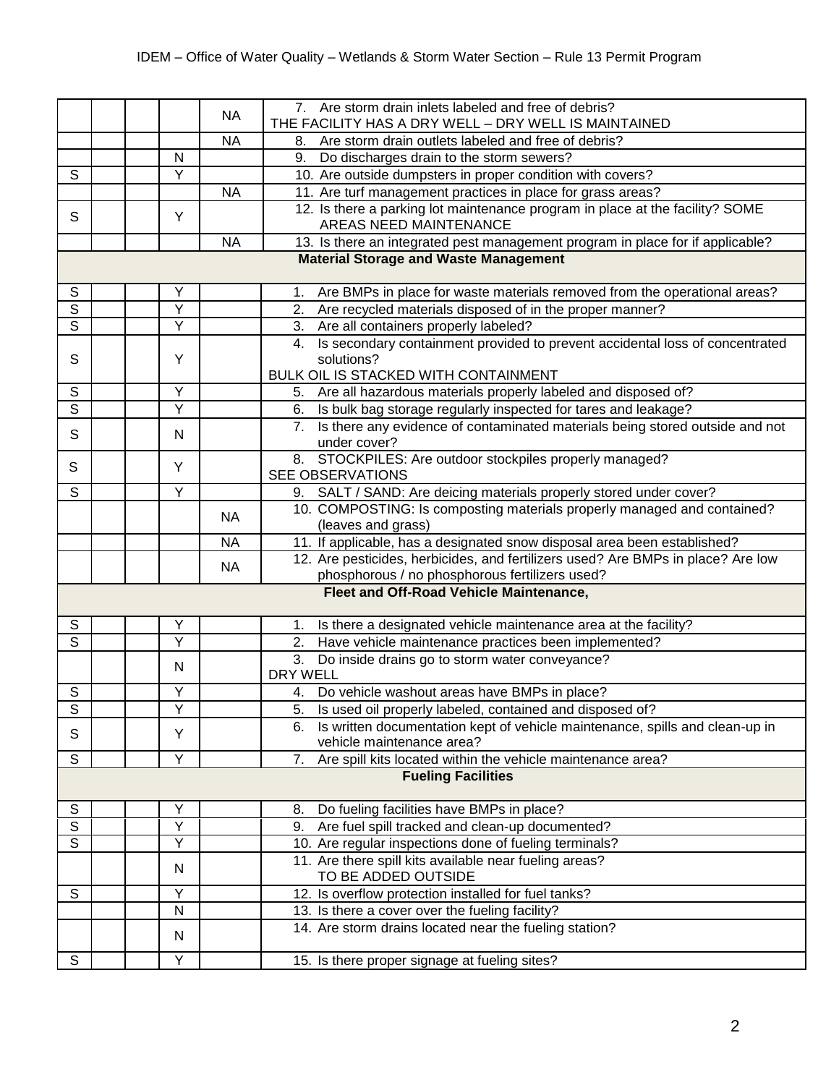|                         |                                              |  |                | <b>NA</b> | 7. Are storm drain inlets labeled and free of debris?<br>THE FACILITY HAS A DRY WELL - DRY WELL IS MAINTAINED                            |  |
|-------------------------|----------------------------------------------|--|----------------|-----------|------------------------------------------------------------------------------------------------------------------------------------------|--|
|                         |                                              |  |                | <b>NA</b> | Are storm drain outlets labeled and free of debris?<br>8.                                                                                |  |
|                         |                                              |  | N              |           | 9.<br>Do discharges drain to the storm sewers?                                                                                           |  |
| S                       |                                              |  | Y              |           | 10. Are outside dumpsters in proper condition with covers?                                                                               |  |
|                         |                                              |  |                | <b>NA</b> | 11. Are turf management practices in place for grass areas?                                                                              |  |
| S                       |                                              |  | Y              |           | 12. Is there a parking lot maintenance program in place at the facility? SOME<br>AREAS NEED MAINTENANCE                                  |  |
|                         |                                              |  |                | <b>NA</b> | 13. Is there an integrated pest management program in place for if applicable?                                                           |  |
|                         | <b>Material Storage and Waste Management</b> |  |                |           |                                                                                                                                          |  |
| $\mathsf S$             |                                              |  | Υ              |           | Are BMPs in place for waste materials removed from the operational areas?<br>1.                                                          |  |
| $\overline{s}$          |                                              |  | $\overline{Y}$ |           | Are recycled materials disposed of in the proper manner?<br>2.                                                                           |  |
| $\overline{s}$          |                                              |  | Y              |           | Are all containers properly labeled?<br>3.                                                                                               |  |
| S                       |                                              |  | Y              |           | Is secondary containment provided to prevent accidental loss of concentrated<br>4.<br>solutions?<br>BULK OIL IS STACKED WITH CONTAINMENT |  |
| $\mathbb S$             |                                              |  | Υ              |           |                                                                                                                                          |  |
| $\overline{s}$          |                                              |  | Y              |           | 5. Are all hazardous materials properly labeled and disposed of?<br>Is bulk bag storage regularly inspected for tares and leakage?<br>6. |  |
|                         |                                              |  |                |           | Is there any evidence of contaminated materials being stored outside and not<br>7.                                                       |  |
| $\mathsf{S}$            |                                              |  | N              |           | under cover?                                                                                                                             |  |
| S                       |                                              |  | Y              |           | 8. STOCKPILES: Are outdoor stockpiles properly managed?<br><b>SEE OBSERVATIONS</b>                                                       |  |
| $\overline{s}$          |                                              |  | Y              |           | 9. SALT / SAND: Are deicing materials properly stored under cover?                                                                       |  |
|                         |                                              |  |                | <b>NA</b> | 10. COMPOSTING: Is composting materials properly managed and contained?<br>(leaves and grass)                                            |  |
|                         |                                              |  |                | <b>NA</b> | 11. If applicable, has a designated snow disposal area been established?                                                                 |  |
|                         |                                              |  |                |           | 12. Are pesticides, herbicides, and fertilizers used? Are BMPs in place? Are low                                                         |  |
|                         |                                              |  |                | <b>NA</b> | phosphorous / no phosphorous fertilizers used?                                                                                           |  |
|                         | Fleet and Off-Road Vehicle Maintenance,      |  |                |           |                                                                                                                                          |  |
| S                       |                                              |  | Υ              |           | Is there a designated vehicle maintenance area at the facility?<br>1.                                                                    |  |
| $\overline{s}$          |                                              |  | Y              |           | Have vehicle maintenance practices been implemented?<br>2.                                                                               |  |
|                         |                                              |  | N              |           | Do inside drains go to storm water conveyance?<br>3.<br><b>DRY WELL</b>                                                                  |  |
| $\mathbb S$             |                                              |  | Υ              |           | Do vehicle washout areas have BMPs in place?<br>4.                                                                                       |  |
| $\overline{s}$          |                                              |  | Y              |           | 5.<br>Is used oil properly labeled, contained and disposed of?                                                                           |  |
| S                       |                                              |  | Y              |           | 6. Is written documentation kept of vehicle maintenance, spills and clean-up in<br>vehicle maintenance area?                             |  |
| $\mathsf{S}$            |                                              |  | Υ              |           | Are spill kits located within the vehicle maintenance area?<br>7.                                                                        |  |
|                         |                                              |  |                |           | <b>Fueling Facilities</b>                                                                                                                |  |
| $\mathbb S$             |                                              |  | Υ              |           | Do fueling facilities have BMPs in place?<br>8.                                                                                          |  |
| $\overline{s}$          |                                              |  | Υ              |           | Are fuel spill tracked and clean-up documented?<br>9.                                                                                    |  |
| $\overline{\mathsf{s}}$ |                                              |  | Y              |           | 10. Are regular inspections done of fueling terminals?                                                                                   |  |
|                         |                                              |  | N              |           | 11. Are there spill kits available near fueling areas?<br>TO BE ADDED OUTSIDE                                                            |  |
| $\mathsf{S}$            |                                              |  | Y              |           | 12. Is overflow protection installed for fuel tanks?                                                                                     |  |
|                         |                                              |  | N              |           | 13. Is there a cover over the fueling facility?                                                                                          |  |
|                         |                                              |  | N              |           | 14. Are storm drains located near the fueling station?                                                                                   |  |
| S                       |                                              |  | Y              |           | 15. Is there proper signage at fueling sites?                                                                                            |  |